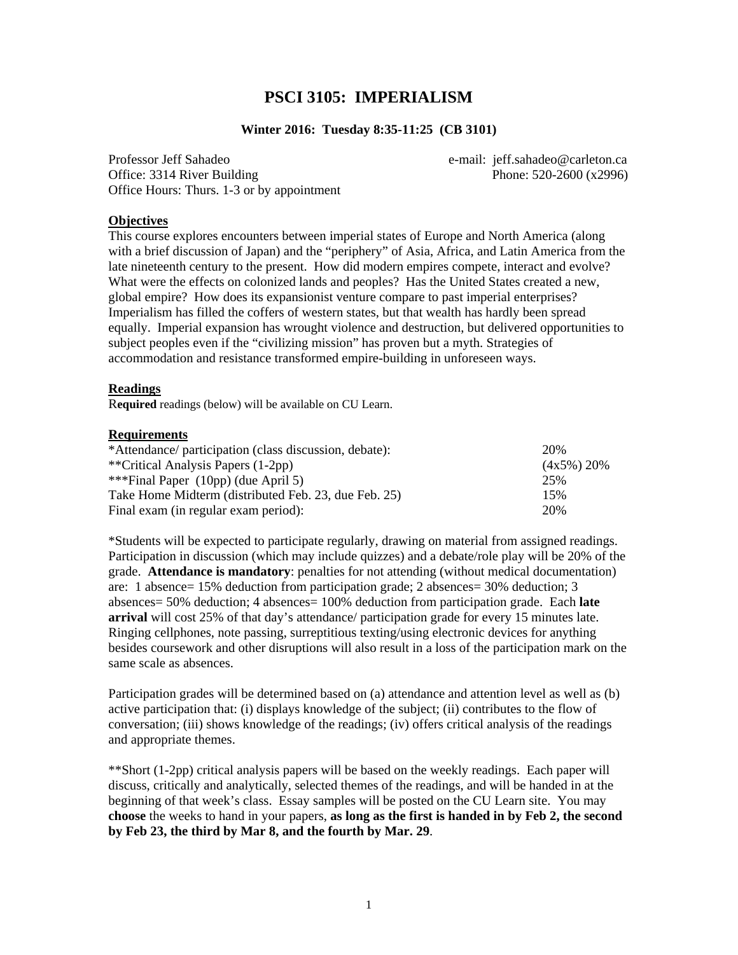## **PSCI 3105: IMPERIALISM**

#### **Winter 2016: Tuesday 8:35-11:25 (CB 3101)**

Professor Jeff Sahadeo e-mail: jeff.sahadeo@carleton.ca Office: 3314 River Building Phone: 520-2600 (x2996) Office Hours: Thurs. 1-3 or by appointment

#### **Objectives**

This course explores encounters between imperial states of Europe and North America (along with a brief discussion of Japan) and the "periphery" of Asia, Africa, and Latin America from the late nineteenth century to the present. How did modern empires compete, interact and evolve? What were the effects on colonized lands and peoples? Has the United States created a new, global empire? How does its expansionist venture compare to past imperial enterprises? Imperialism has filled the coffers of western states, but that wealth has hardly been spread equally. Imperial expansion has wrought violence and destruction, but delivered opportunities to subject peoples even if the "civilizing mission" has proven but a myth. Strategies of accommodation and resistance transformed empire-building in unforeseen ways.

#### **Readings**

R**equired** readings (below) will be available on CU Learn.

#### **Requirements**

| *Attendance/ participation (class discussion, debate): | 20%            |
|--------------------------------------------------------|----------------|
| **Critical Analysis Papers (1-2pp)                     | $(4x5\%) 20\%$ |
| ***Final Paper $(10pp)$ (due April 5)                  | 25%            |
| Take Home Midterm (distributed Feb. 23, due Feb. 25)   | 15%            |
| Final exam (in regular exam period):                   | 20%            |

\*Students will be expected to participate regularly, drawing on material from assigned readings. Participation in discussion (which may include quizzes) and a debate/role play will be 20% of the grade. **Attendance is mandatory**: penalties for not attending (without medical documentation) are: 1 absence= 15% deduction from participation grade; 2 absences= 30% deduction; 3 absences= 50% deduction; 4 absences= 100% deduction from participation grade. Each **late arrival** will cost 25% of that day's attendance/ participation grade for every 15 minutes late. Ringing cellphones, note passing, surreptitious texting/using electronic devices for anything besides coursework and other disruptions will also result in a loss of the participation mark on the same scale as absences.

Participation grades will be determined based on (a) attendance and attention level as well as (b) active participation that: (i) displays knowledge of the subject; (ii) contributes to the flow of conversation; (iii) shows knowledge of the readings; (iv) offers critical analysis of the readings and appropriate themes.

\*\*Short (1-2pp) critical analysis papers will be based on the weekly readings. Each paper will discuss, critically and analytically, selected themes of the readings, and will be handed in at the beginning of that week's class. Essay samples will be posted on the CU Learn site. You may **choose** the weeks to hand in your papers, **as long as the first is handed in by Feb 2, the second by Feb 23, the third by Mar 8, and the fourth by Mar. 29**.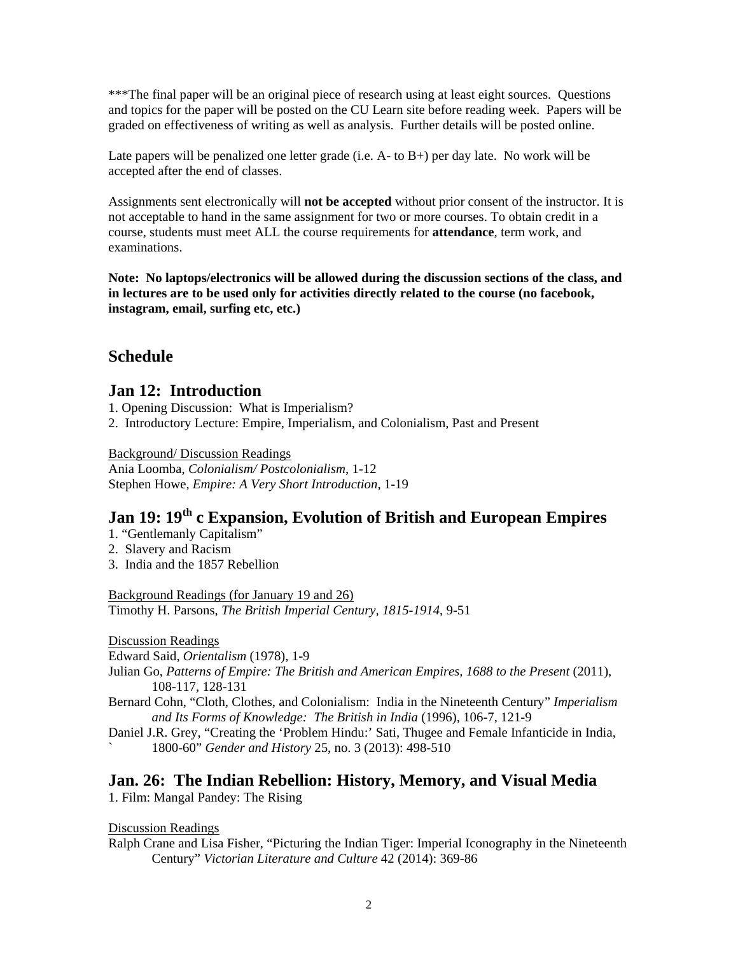\*\*\*The final paper will be an original piece of research using at least eight sources. Questions and topics for the paper will be posted on the CU Learn site before reading week. Papers will be graded on effectiveness of writing as well as analysis. Further details will be posted online.

Late papers will be penalized one letter grade (i.e. A- to B+) per day late. No work will be accepted after the end of classes.

Assignments sent electronically will **not be accepted** without prior consent of the instructor. It is not acceptable to hand in the same assignment for two or more courses. To obtain credit in a course, students must meet ALL the course requirements for **attendance**, term work, and examinations.

**Note: No laptops/electronics will be allowed during the discussion sections of the class, and in lectures are to be used only for activities directly related to the course (no facebook, instagram, email, surfing etc, etc.)** 

# **Schedule**

## **Jan 12: Introduction**

1. Opening Discussion: What is Imperialism?

2. Introductory Lecture: Empire, Imperialism, and Colonialism, Past and Present

Background/ Discussion Readings

Ania Loomba, *Colonialism/ Postcolonialism*, 1-12 Stephen Howe, *Empire: A Very Short Introduction*, 1-19

# **Jan 19: 19th c Expansion, Evolution of British and European Empires**

- 1. "Gentlemanly Capitalism"
- 2. Slavery and Racism
- 3. India and the 1857 Rebellion

Background Readings (for January 19 and 26) Timothy H. Parsons, *The British Imperial Century, 1815-1914*, 9-51

Discussion Readings

Edward Said, *Orientalism* (1978), 1-9

Julian Go, *Patterns of Empire: The British and American Empires, 1688 to the Present* (2011), 108-117, 128-131

Bernard Cohn, "Cloth, Clothes, and Colonialism: India in the Nineteenth Century" *Imperialism and Its Forms of Knowledge: The British in India* (1996), 106-7, 121-9

Daniel J.R. Grey, "Creating the 'Problem Hindu:' Sati, Thugee and Female Infanticide in India, ` 1800-60" *Gender and History* 25, no. 3 (2013): 498-510

## **Jan. 26: The Indian Rebellion: History, Memory, and Visual Media**

1. Film: Mangal Pandey: The Rising

Discussion Readings

Ralph Crane and Lisa Fisher, "Picturing the Indian Tiger: Imperial Iconography in the Nineteenth Century" *Victorian Literature and Culture* 42 (2014): 369-86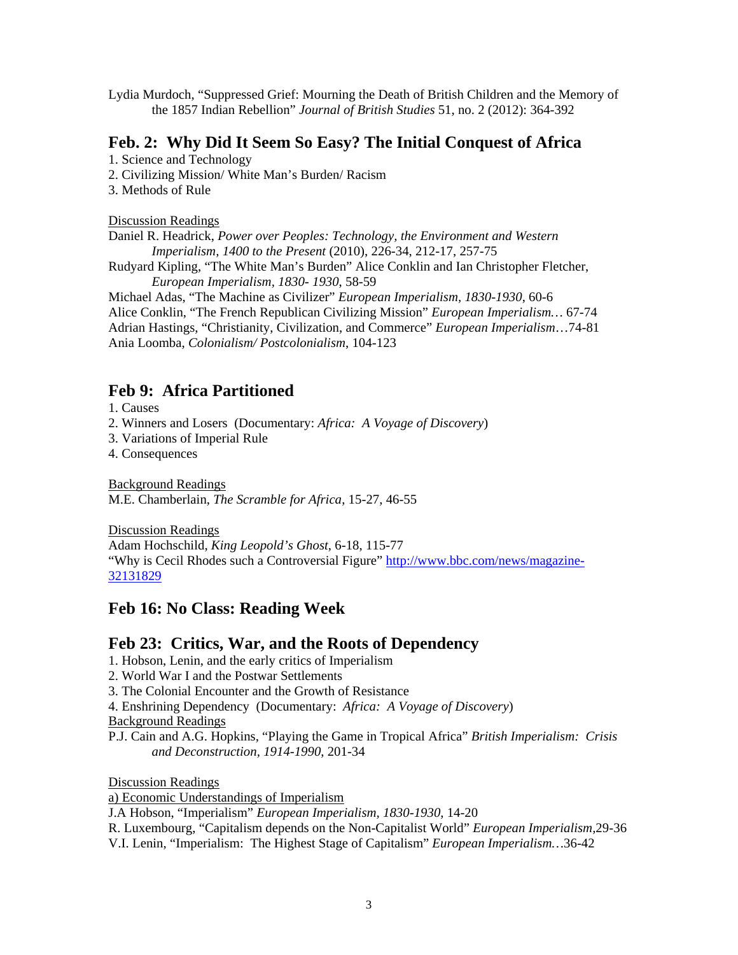Lydia Murdoch, "Suppressed Grief: Mourning the Death of British Children and the Memory of the 1857 Indian Rebellion" *Journal of British Studies* 51, no. 2 (2012): 364-392

### **Feb. 2: Why Did It Seem So Easy? The Initial Conquest of Africa**

1. Science and Technology

2. Civilizing Mission/ White Man's Burden/ Racism

3. Methods of Rule

Discussion Readings

Daniel R. Headrick, *Power over Peoples: Technology, the Environment and Western Imperialism, 1400 to the Present* (2010), 226-34, 212-17, 257-75

Rudyard Kipling, "The White Man's Burden" Alice Conklin and Ian Christopher Fletcher, *European Imperialism, 1830- 1930*, 58-59

Michael Adas, "The Machine as Civilizer" *European Imperialism, 1830-1930*, 60-6 Alice Conklin, "The French Republican Civilizing Mission" *European Imperialism…* 67-74 Adrian Hastings, "Christianity, Civilization, and Commerce" *European Imperialism*…74-81 Ania Loomba, *Colonialism/ Postcolonialism*, 104-123

# **Feb 9: Africa Partitioned**

1. Causes

2. Winners and Losers (Documentary: *Africa: A Voyage of Discovery*)

3. Variations of Imperial Rule

4. Consequences

Background Readings M.E. Chamberlain, *The Scramble for Africa*, 15-27, 46-55

Discussion Readings

Adam Hochschild, *King Leopold's Ghost*, 6-18, 115-77

"Why is Cecil Rhodes such a Controversial Figure" http://www.bbc.com/news/magazine-32131829

# **Feb 16: No Class: Reading Week**

## **Feb 23: Critics, War, and the Roots of Dependency**

1. Hobson, Lenin, and the early critics of Imperialism

2. World War I and the Postwar Settlements

3. The Colonial Encounter and the Growth of Resistance

4. Enshrining Dependency (Documentary: *Africa: A Voyage of Discovery*)

Background Readings

P.J. Cain and A.G. Hopkins, "Playing the Game in Tropical Africa" *British Imperialism: Crisis and Deconstruction, 1914-1990*, 201-34

Discussion Readings

a) Economic Understandings of Imperialism

J.A Hobson, "Imperialism" *European Imperialism, 1830-1930*, 14-20

R. Luxembourg, "Capitalism depends on the Non-Capitalist World" *European Imperialism,*29-36

V.I. Lenin, "Imperialism: The Highest Stage of Capitalism" *European Imperialism…*36-42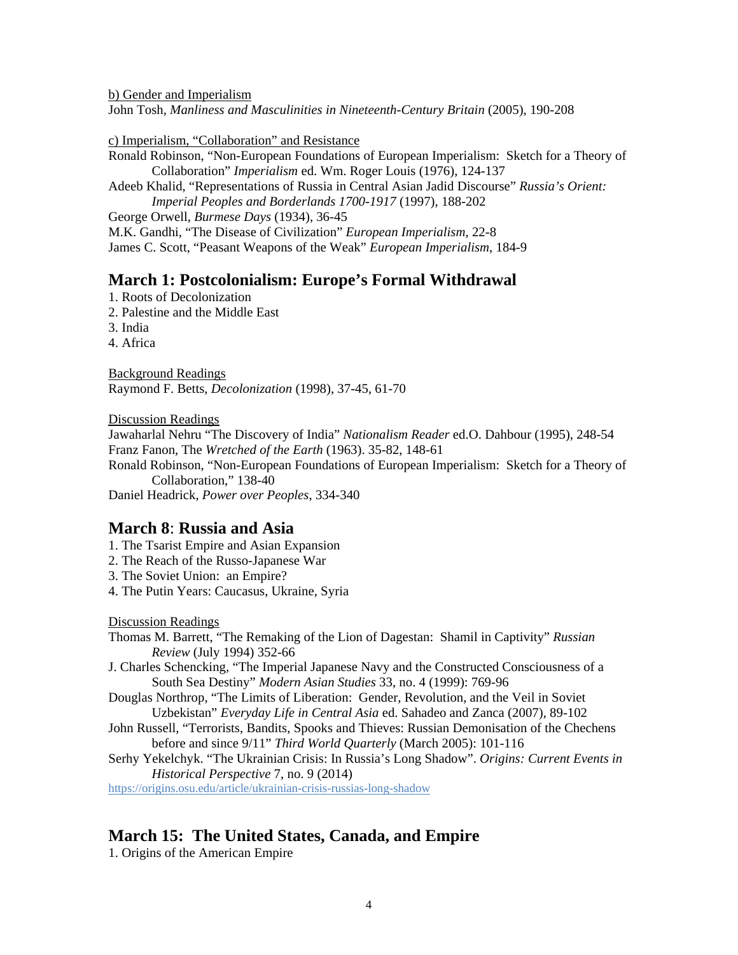b) Gender and Imperialism

John Tosh, *Manliness and Masculinities in Nineteenth-Century Britain* (2005), 190-208

c) Imperialism, "Collaboration" and Resistance

Ronald Robinson, "Non-European Foundations of European Imperialism: Sketch for a Theory of Collaboration" *Imperialism* ed. Wm. Roger Louis (1976), 124-137

Adeeb Khalid, "Representations of Russia in Central Asian Jadid Discourse" *Russia's Orient: Imperial Peoples and Borderlands 1700-1917* (1997), 188-202

George Orwell, *Burmese Days* (1934), 36-45

M.K. Gandhi, "The Disease of Civilization" *European Imperialism*, 22-8

James C. Scott, "Peasant Weapons of the Weak" *European Imperialism*, 184-9

#### **March 1: Postcolonialism: Europe's Formal Withdrawal**

- 1. Roots of Decolonization
- 2. Palestine and the Middle East
- 3. India
- 4. Africa

Background Readings Raymond F. Betts, *Decolonization* (1998), 37-45, 61-70

Discussion Readings

Jawaharlal Nehru "The Discovery of India" *Nationalism Reader* ed.O. Dahbour (1995), 248-54 Franz Fanon, The *Wretched of the Earth* (1963). 35-82, 148-61

Ronald Robinson, "Non-European Foundations of European Imperialism: Sketch for a Theory of Collaboration," 138-40

Daniel Headrick, *Power over Peoples*, 334-340

- **March 8: Russia and Asia**<br>1. The Tsarist Empire and Asian Expansion
- 2. The Reach of the Russo-Japanese War
- 3. The Soviet Union: an Empire?
- 4. The Putin Years: Caucasus, Ukraine, Syria

Discussion Readings

- Thomas M. Barrett, "The Remaking of the Lion of Dagestan: Shamil in Captivity" *Russian Review* (July 1994) 352-66
- J. Charles Schencking, "The Imperial Japanese Navy and the Constructed Consciousness of a South Sea Destiny" *Modern Asian Studies* 33, no. 4 (1999): 769-96
- Douglas Northrop, "The Limits of Liberation: Gender, Revolution, and the Veil in Soviet Uzbekistan" *Everyday Life in Central Asia* ed. Sahadeo and Zanca (2007), 89-102
- John Russell, "Terrorists, Bandits, Spooks and Thieves: Russian Demonisation of the Chechens before and since 9/11" *Third World Quarterly* (March 2005): 101-116
- Serhy Yekelchyk. "The Ukrainian Crisis: In Russia's Long Shadow". *Origins: Current Events in Historical Perspective* 7, no. 9 (2014)

https://origins.osu.edu/article/ukrainian-crisis-russias-long-shadow

## **March 15: The United States, Canada, and Empire**

1. Origins of the American Empire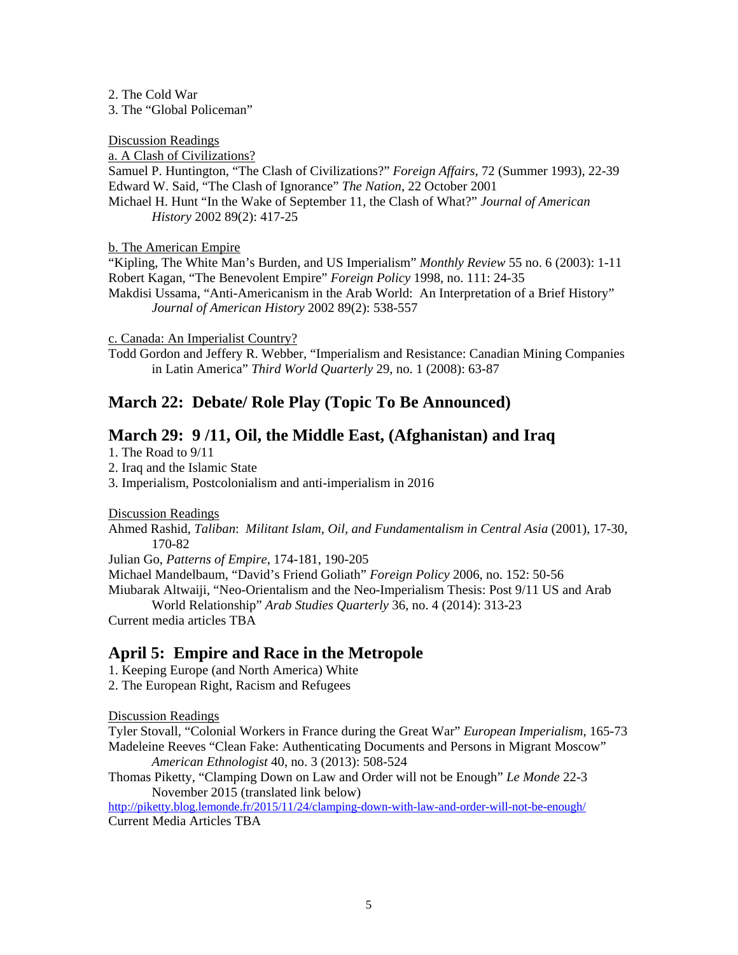2. The Cold War

3. The "Global Policeman"

Discussion Readings

a. A Clash of Civilizations?

Samuel P. Huntington, "The Clash of Civilizations?" *Foreign Affairs*, 72 (Summer 1993), 22-39 Edward W. Said, "The Clash of Ignorance" *The Nation*, 22 October 2001 Michael H. Hunt "In the Wake of September 11, the Clash of What?" *Journal of American History* 2002 89(2): 417-25

b. The American Empire

"Kipling, The White Man's Burden, and US Imperialism" *Monthly Review* 55 no. 6 (2003): 1-11 Robert Kagan, "The Benevolent Empire" *Foreign Policy* 1998, no. 111: 24-35 Makdisi Ussama, "Anti-Americanism in the Arab World: An Interpretation of a Brief History" *Journal of American History* 2002 89(2): 538-557

c. Canada: An Imperialist Country?

Todd Gordon and Jeffery R. Webber, "Imperialism and Resistance: Canadian Mining Companies in Latin America" *Third World Quarterly* 29, no. 1 (2008): 63-87

# **March 22: Debate/ Role Play (Topic To Be Announced)**

## **March 29: 9 /11, Oil, the Middle East, (Afghanistan) and Iraq**

1. The Road to 9/11

2. Iraq and the Islamic State

3. Imperialism, Postcolonialism and anti-imperialism in 2016

Discussion Readings

Ahmed Rashid, *Taliban*: *Militant Islam, Oil, and Fundamentalism in Central Asia* (2001), 17-30, 170-82

Julian Go, *Patterns of Empire*, 174-181, 190-205

Michael Mandelbaum, "David's Friend Goliath" *Foreign Policy* 2006, no. 152: 50-56

Miubarak Altwaiji, "Neo-Orientalism and the Neo-Imperialism Thesis: Post 9/11 US and Arab World Relationship" *Arab Studies Quarterly* 36, no. 4 (2014): 313-23

Current media articles TBA

## **April 5: Empire and Race in the Metropole**

1. Keeping Europe (and North America) White

2. The European Right, Racism and Refugees

Discussion Readings

Tyler Stovall, "Colonial Workers in France during the Great War" *European Imperialism*, 165-73 Madeleine Reeves "Clean Fake: Authenticating Documents and Persons in Migrant Moscow" *American Ethnologist* 40, no. 3 (2013): 508-524

Thomas Piketty, "Clamping Down on Law and Order will not be Enough" *Le Monde* 22-3 November 2015 (translated link below)

http://piketty.blog.lemonde.fr/2015/11/24/clamping-down-with-law-and-order-will-not-be-enough/ Current Media Articles TBA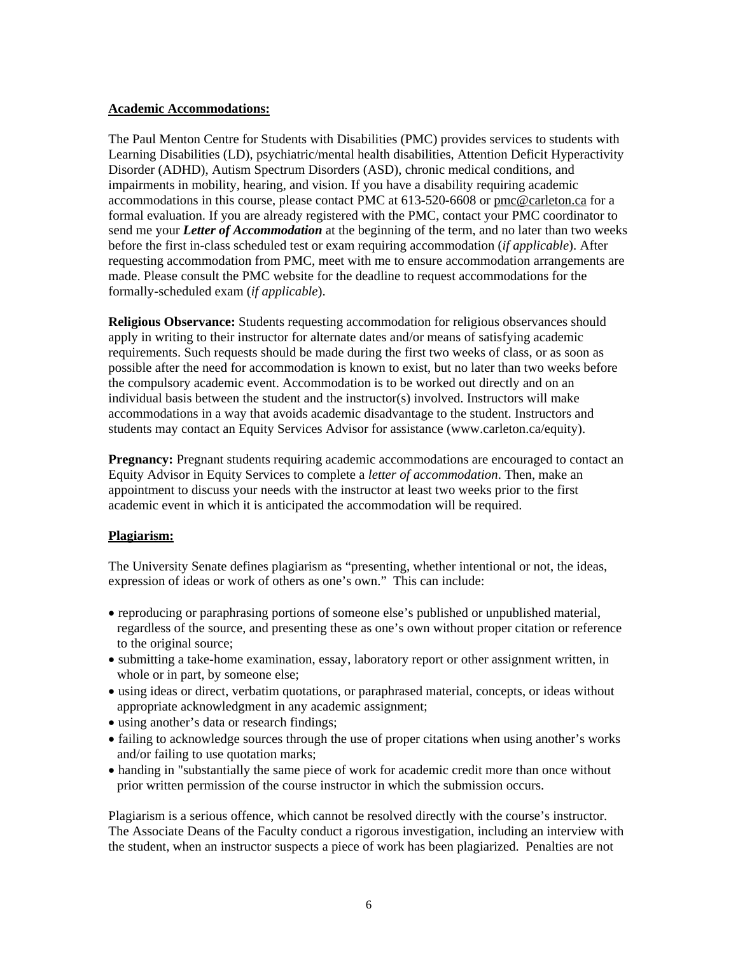#### **Academic Accommodations:**

The Paul Menton Centre for Students with Disabilities (PMC) provides services to students with Learning Disabilities (LD), psychiatric/mental health disabilities, Attention Deficit Hyperactivity Disorder (ADHD), Autism Spectrum Disorders (ASD), chronic medical conditions, and impairments in mobility, hearing, and vision. If you have a disability requiring academic accommodations in this course, please contact PMC at 613-520-6608 or pmc@carleton.ca for a formal evaluation. If you are already registered with the PMC, contact your PMC coordinator to send me your *Letter of Accommodation* at the beginning of the term, and no later than two weeks before the first in-class scheduled test or exam requiring accommodation (*if applicable*). After requesting accommodation from PMC, meet with me to ensure accommodation arrangements are made. Please consult the PMC website for the deadline to request accommodations for the formally-scheduled exam (*if applicable*).

**Religious Observance:** Students requesting accommodation for religious observances should apply in writing to their instructor for alternate dates and/or means of satisfying academic requirements. Such requests should be made during the first two weeks of class, or as soon as possible after the need for accommodation is known to exist, but no later than two weeks before the compulsory academic event. Accommodation is to be worked out directly and on an individual basis between the student and the instructor(s) involved. Instructors will make accommodations in a way that avoids academic disadvantage to the student. Instructors and students may contact an Equity Services Advisor for assistance (www.carleton.ca/equity).

**Pregnancy:** Pregnant students requiring academic accommodations are encouraged to contact an Equity Advisor in Equity Services to complete a *letter of accommodation*. Then, make an appointment to discuss your needs with the instructor at least two weeks prior to the first academic event in which it is anticipated the accommodation will be required.

#### **Plagiarism:**

The University Senate defines plagiarism as "presenting, whether intentional or not, the ideas, expression of ideas or work of others as one's own." This can include:

- reproducing or paraphrasing portions of someone else's published or unpublished material, regardless of the source, and presenting these as one's own without proper citation or reference to the original source;
- submitting a take-home examination, essay, laboratory report or other assignment written, in whole or in part, by someone else;
- using ideas or direct, verbatim quotations, or paraphrased material, concepts, or ideas without appropriate acknowledgment in any academic assignment;
- using another's data or research findings;
- failing to acknowledge sources through the use of proper citations when using another's works and/or failing to use quotation marks;
- handing in "substantially the same piece of work for academic credit more than once without prior written permission of the course instructor in which the submission occurs.

Plagiarism is a serious offence, which cannot be resolved directly with the course's instructor. The Associate Deans of the Faculty conduct a rigorous investigation, including an interview with the student, when an instructor suspects a piece of work has been plagiarized. Penalties are not